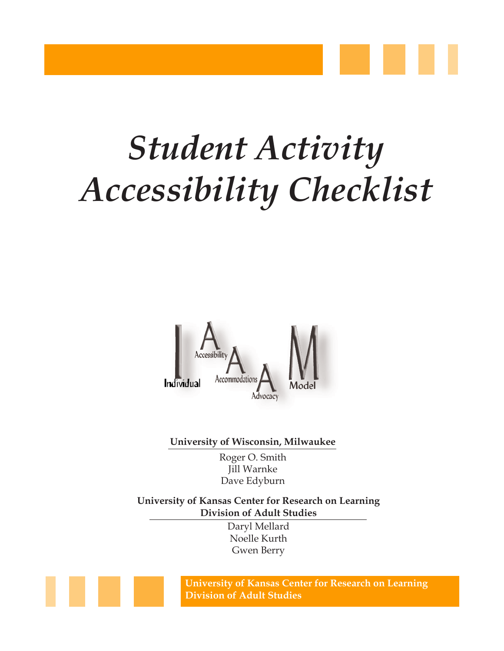



**University of Wisconsin, Milwaukee**

Roger O. Smith Jill Warnke Dave Edyburn

**University of Kansas Center for Research on Learning Division of Adult Studies**

> Daryl Mellard Noelle Kurth Gwen Berry

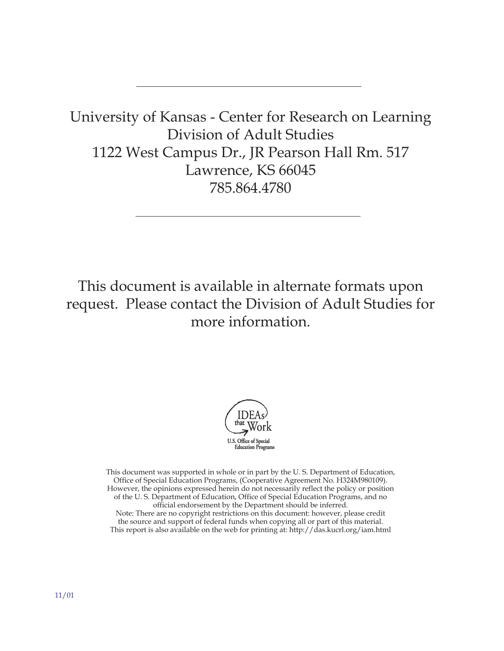University of Kansas - Center for Research on Learning Division of Adult Studies 1122 West Campus Dr., JR Pearson Hall Rm. 517 Lawrence, KS 66045 785.864.4780

This document is available in alternate formats upon request. Please contact the Division of Adult Studies for more information.



This document was supported in whole or in part by the U. S. Department of Education, Office of Special Education Programs, (Cooperative Agreement No. H324M980109). However, the opinions expressed herein do not necessarily reflect the policy or position of the U. S. Department of Education, Office of Special Education Programs, and no official endorsement by the Department should be inferred. Note: There are no copyright restrictions on this document: however, please credit the source and support of federal funds when copying all or part of this material. This report is also available on the web for printing at: http://das.kucrl.org/iam.html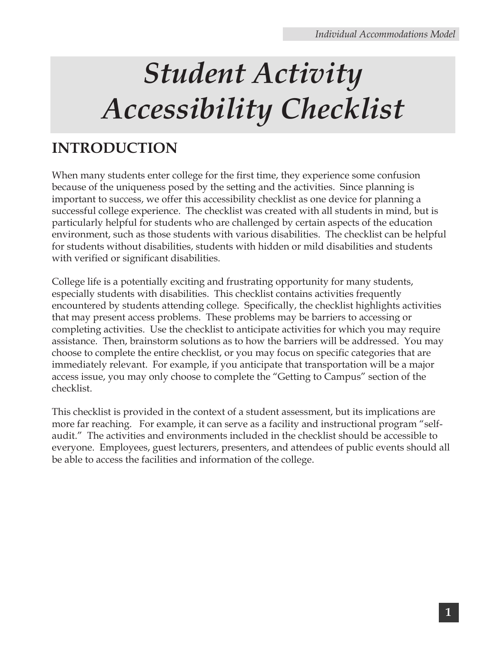#### **INTRODUCTION**

When many students enter college for the first time, they experience some confusion because of the uniqueness posed by the setting and the activities. Since planning is important to success, we offer this accessibility checklist as one device for planning a successful college experience. The checklist was created with all students in mind, but is particularly helpful for students who are challenged by certain aspects of the education environment, such as those students with various disabilities. The checklist can be helpful for students without disabilities, students with hidden or mild disabilities and students with verified or significant disabilities.

College life is a potentially exciting and frustrating opportunity for many students, especially students with disabilities. This checklist contains activities frequently encountered by students attending college. Specifically, the checklist highlights activities that may present access problems. These problems may be barriers to accessing or completing activities. Use the checklist to anticipate activities for which you may require assistance. Then, brainstorm solutions as to how the barriers will be addressed. You may choose to complete the entire checklist, or you may focus on specific categories that are immediately relevant. For example, if you anticipate that transportation will be a major access issue, you may only choose to complete the "Getting to Campus" section of the checklist.

This checklist is provided in the context of a student assessment, but its implications are more far reaching. For example, it can serve as a facility and instructional program "selfaudit." The activities and environments included in the checklist should be accessible to everyone. Employees, guest lecturers, presenters, and attendees of public events should all be able to access the facilities and information of the college.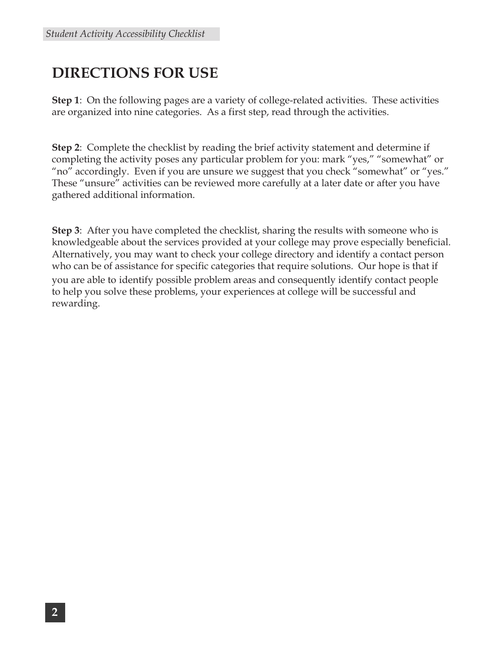#### **DIRECTIONS FOR USE**

**Step 1**: On the following pages are a variety of college-related activities. These activities are organized into nine categories. As a first step, read through the activities.

**Step 2**: Complete the checklist by reading the brief activity statement and determine if completing the activity poses any particular problem for you: mark "yes," "somewhat" or "no" accordingly. Even if you are unsure we suggest that you check "somewhat" or "yes." These "unsure" activities can be reviewed more carefully at a later date or after you have gathered additional information.

**Step 3**: After you have completed the checklist, sharing the results with someone who is knowledgeable about the services provided at your college may prove especially beneficial. Alternatively, you may want to check your college directory and identify a contact person who can be of assistance for specific categories that require solutions. Our hope is that if you are able to identify possible problem areas and consequently identify contact people to help you solve these problems, your experiences at college will be successful and rewarding.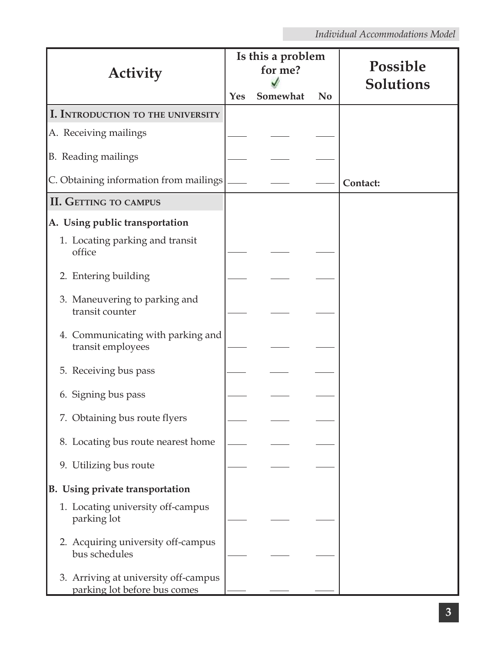| Activity                                                             | Yes | Is this a problem<br>for me?<br>Somewhat | N <sub>0</sub> | Possible<br>Solutions |
|----------------------------------------------------------------------|-----|------------------------------------------|----------------|-----------------------|
| I. INTRODUCTION TO THE UNIVERSITY                                    |     |                                          |                |                       |
| A. Receiving mailings                                                |     |                                          |                |                       |
| B. Reading mailings                                                  |     |                                          |                |                       |
| C. Obtaining information from mailings                               |     |                                          |                | Contact:              |
| <b>II. GETTING TO CAMPUS</b>                                         |     |                                          |                |                       |
| A. Using public transportation                                       |     |                                          |                |                       |
| 1. Locating parking and transit<br>office                            |     |                                          |                |                       |
| 2. Entering building                                                 |     |                                          |                |                       |
| 3. Maneuvering to parking and<br>transit counter                     |     |                                          |                |                       |
| 4. Communicating with parking and<br>transit employees               |     |                                          |                |                       |
| 5. Receiving bus pass                                                |     |                                          |                |                       |
| 6. Signing bus pass                                                  |     |                                          |                |                       |
| 7. Obtaining bus route flyers                                        |     |                                          |                |                       |
| 8. Locating bus route nearest home                                   |     |                                          |                |                       |
| 9. Utilizing bus route                                               |     |                                          |                |                       |
| B. Using private transportation                                      |     |                                          |                |                       |
| 1. Locating university off-campus<br>parking lot                     |     |                                          |                |                       |
| 2. Acquiring university off-campus<br>bus schedules                  |     |                                          |                |                       |
| 3. Arriving at university off-campus<br>parking lot before bus comes |     |                                          |                |                       |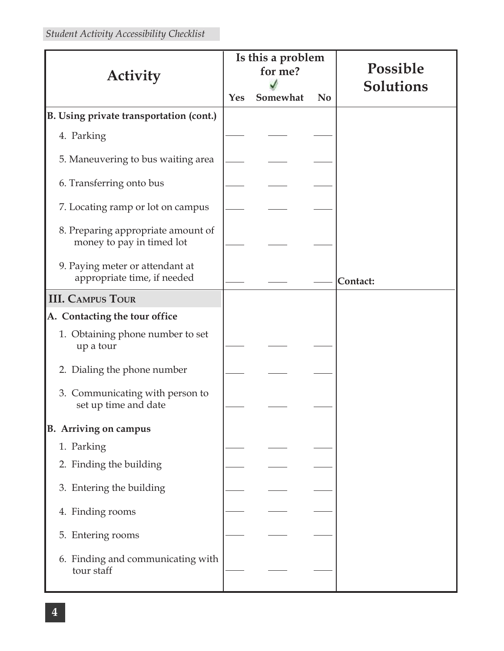| Is this a problem                                               |  |          |                | Possible  |  |
|-----------------------------------------------------------------|--|----------|----------------|-----------|--|
| Activity                                                        |  | for me?  |                |           |  |
|                                                                 |  | Somewhat | N <sub>0</sub> | Solutions |  |
| B. Using private transportation (cont.)                         |  |          |                |           |  |
| 4. Parking                                                      |  |          |                |           |  |
| 5. Maneuvering to bus waiting area                              |  |          |                |           |  |
| 6. Transferring onto bus                                        |  |          |                |           |  |
| 7. Locating ramp or lot on campus                               |  |          |                |           |  |
| 8. Preparing appropriate amount of<br>money to pay in timed lot |  |          |                |           |  |
| 9. Paying meter or attendant at<br>appropriate time, if needed  |  |          |                | Contact:  |  |
| <b>III. CAMPUS TOUR</b>                                         |  |          |                |           |  |
| A. Contacting the tour office                                   |  |          |                |           |  |
| 1. Obtaining phone number to set<br>up a tour                   |  |          |                |           |  |
| 2. Dialing the phone number                                     |  |          |                |           |  |
| 3. Communicating with person to<br>set up time and date         |  |          |                |           |  |
| <b>B.</b> Arriving on campus                                    |  |          |                |           |  |
| 1. Parking                                                      |  |          |                |           |  |
| 2. Finding the building                                         |  |          |                |           |  |
| 3. Entering the building                                        |  |          |                |           |  |
| 4. Finding rooms                                                |  |          |                |           |  |
| 5. Entering rooms                                               |  |          |                |           |  |
| 6. Finding and communicating with<br>tour staff                 |  |          |                |           |  |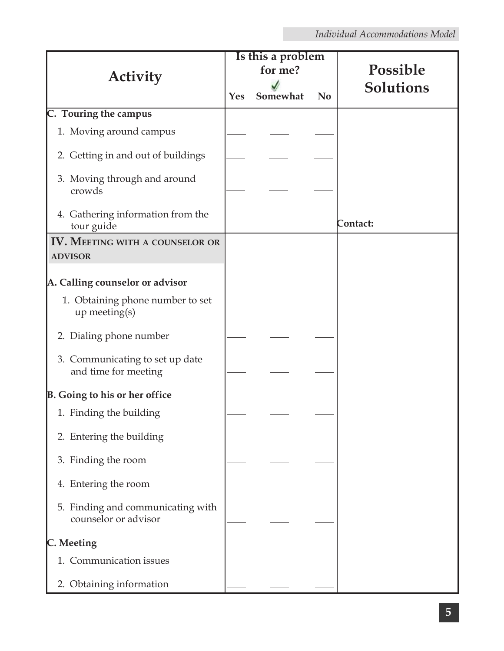|                                                           |         | Is this a problem |           |                  |  |
|-----------------------------------------------------------|---------|-------------------|-----------|------------------|--|
| <b>Activity</b>                                           | for me? |                   |           | Possible         |  |
|                                                           | Yes     | Somewhat          | <b>No</b> | <b>Solutions</b> |  |
| C. Touring the campus                                     |         |                   |           |                  |  |
| 1. Moving around campus                                   |         |                   |           |                  |  |
| 2. Getting in and out of buildings                        |         |                   |           |                  |  |
| 3. Moving through and around<br>crowds                    |         |                   |           |                  |  |
| 4. Gathering information from the<br>tour guide           |         |                   |           | Contact:         |  |
| <b>IV. MEETING WITH A COUNSELOR OR</b>                    |         |                   |           |                  |  |
| <b>ADVISOR</b>                                            |         |                   |           |                  |  |
|                                                           |         |                   |           |                  |  |
| A. Calling counselor or advisor                           |         |                   |           |                  |  |
| 1. Obtaining phone number to set<br>up meeting(s)         |         |                   |           |                  |  |
| 2. Dialing phone number                                   |         |                   |           |                  |  |
| 3. Communicating to set up date<br>and time for meeting   |         |                   |           |                  |  |
| <b>B.</b> Going to his or her office                      |         |                   |           |                  |  |
| 1. Finding the building                                   |         |                   |           |                  |  |
| 2. Entering the building                                  |         |                   |           |                  |  |
| 3. Finding the room                                       |         |                   |           |                  |  |
| 4. Entering the room                                      |         |                   |           |                  |  |
| 5. Finding and communicating with<br>counselor or advisor |         |                   |           |                  |  |
| C. Meeting                                                |         |                   |           |                  |  |
| 1. Communication issues                                   |         |                   |           |                  |  |
| 2. Obtaining information                                  |         |                   |           |                  |  |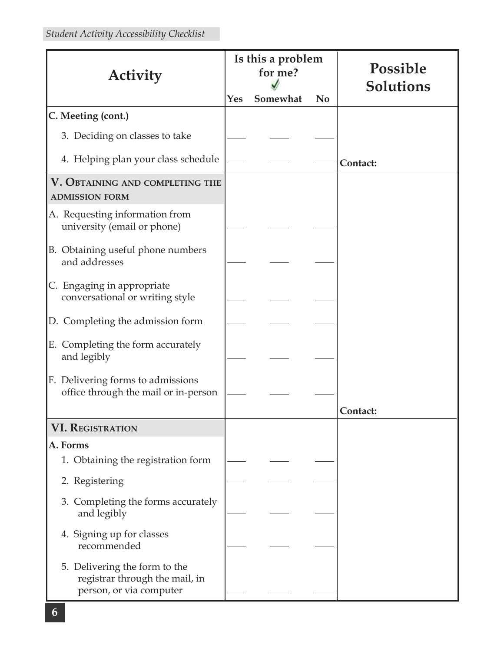| Activity                                                                                   | Is this a problem<br>for me? |          |                | Possible<br><b>Solutions</b> |  |
|--------------------------------------------------------------------------------------------|------------------------------|----------|----------------|------------------------------|--|
|                                                                                            | Yes                          | Somewhat | N <sub>0</sub> |                              |  |
| C. Meeting (cont.)                                                                         |                              |          |                |                              |  |
| 3. Deciding on classes to take                                                             |                              |          |                |                              |  |
| 4. Helping plan your class schedule                                                        |                              |          |                | Contact:                     |  |
| V. OBTAINING AND COMPLETING THE<br><b>ADMISSION FORM</b>                                   |                              |          |                |                              |  |
| A. Requesting information from<br>university (email or phone)                              |                              |          |                |                              |  |
| B. Obtaining useful phone numbers<br>and addresses                                         |                              |          |                |                              |  |
| C. Engaging in appropriate<br>conversational or writing style                              |                              |          |                |                              |  |
| D. Completing the admission form                                                           |                              |          |                |                              |  |
| E. Completing the form accurately<br>and legibly                                           |                              |          |                |                              |  |
| F. Delivering forms to admissions<br>office through the mail or in-person                  |                              |          |                | Contact:                     |  |
| <b>VI. REGISTRATION</b>                                                                    |                              |          |                |                              |  |
| A. Forms                                                                                   |                              |          |                |                              |  |
| 1. Obtaining the registration form                                                         |                              |          |                |                              |  |
| 2. Registering                                                                             |                              |          |                |                              |  |
| 3. Completing the forms accurately<br>and legibly                                          |                              |          |                |                              |  |
| 4. Signing up for classes<br>recommended                                                   |                              |          |                |                              |  |
| 5. Delivering the form to the<br>registrar through the mail, in<br>person, or via computer |                              |          |                |                              |  |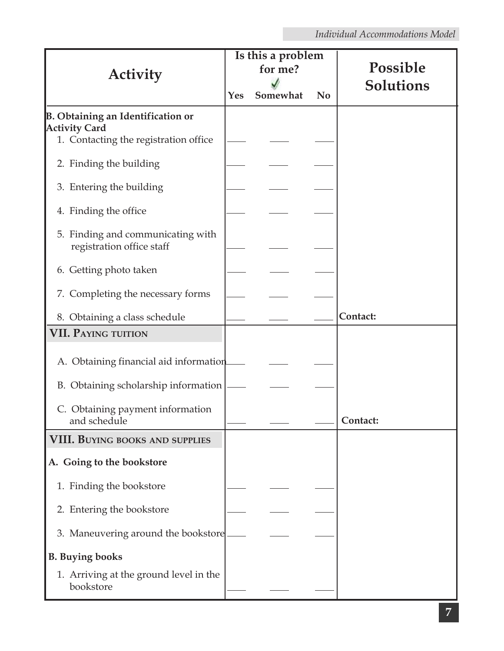|                                                                |     | Is this a problem<br>for me? |           | Possible         |  |
|----------------------------------------------------------------|-----|------------------------------|-----------|------------------|--|
| Activity                                                       |     |                              |           | <b>Solutions</b> |  |
|                                                                | Yes | Somewhat                     | <b>No</b> |                  |  |
| <b>B. Obtaining an Identification or</b>                       |     |                              |           |                  |  |
| <b>Activity Card</b><br>1. Contacting the registration office  |     |                              |           |                  |  |
| 2. Finding the building                                        |     |                              |           |                  |  |
| 3. Entering the building                                       |     |                              |           |                  |  |
| 4. Finding the office                                          |     |                              |           |                  |  |
| 5. Finding and communicating with<br>registration office staff |     |                              |           |                  |  |
| 6. Getting photo taken                                         |     |                              |           |                  |  |
| 7. Completing the necessary forms                              |     |                              |           |                  |  |
| 8. Obtaining a class schedule                                  |     |                              |           | Contact:         |  |
| <b>VII. PAYING TUITION</b>                                     |     |                              |           |                  |  |
| A. Obtaining financial aid information                         |     |                              |           |                  |  |
| B. Obtaining scholarship information                           |     |                              |           |                  |  |
| C. Obtaining payment information<br>and schedule               |     |                              |           | Contact:         |  |
| <b>VIII. BUYING BOOKS AND SUPPLIES</b>                         |     |                              |           |                  |  |
| A. Going to the bookstore                                      |     |                              |           |                  |  |
| 1. Finding the bookstore                                       |     |                              |           |                  |  |
| 2. Entering the bookstore                                      |     |                              |           |                  |  |
| 3. Maneuvering around the bookstore                            |     |                              |           |                  |  |
| <b>B.</b> Buying books                                         |     |                              |           |                  |  |
| 1. Arriving at the ground level in the<br>bookstore            |     |                              |           |                  |  |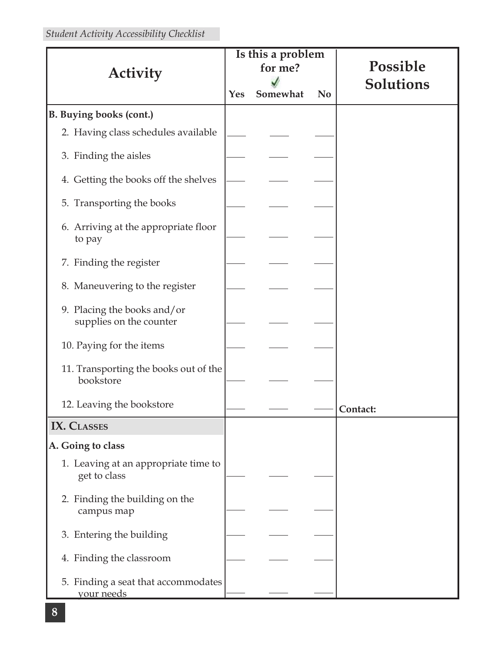|                                                          | Is this a problem |          |           | Possible  |  |
|----------------------------------------------------------|-------------------|----------|-----------|-----------|--|
| <b>Activity</b>                                          |                   | for me?  |           |           |  |
|                                                          | Yes               | Somewhat | <b>No</b> | Solutions |  |
| <b>B. Buying books (cont.)</b>                           |                   |          |           |           |  |
| 2. Having class schedules available                      |                   |          |           |           |  |
| 3. Finding the aisles                                    |                   |          |           |           |  |
| 4. Getting the books off the shelves                     |                   |          |           |           |  |
| 5. Transporting the books                                |                   |          |           |           |  |
| 6. Arriving at the appropriate floor<br>to pay           |                   |          |           |           |  |
| 7. Finding the register                                  |                   |          |           |           |  |
| 8. Maneuvering to the register                           |                   |          |           |           |  |
| 9. Placing the books and/or<br>supplies on the counter   |                   |          |           |           |  |
| 10. Paying for the items                                 |                   |          |           |           |  |
| 11. Transporting the books out of the<br>bookstore       |                   |          |           |           |  |
| 12. Leaving the bookstore                                |                   |          |           | Contact:  |  |
| <b>IX. CLASSES</b>                                       |                   |          |           |           |  |
| A. Going to class                                        |                   |          |           |           |  |
| 1. Leaving at an appropriate time to<br>get to class     |                   |          |           |           |  |
| 2. Finding the building on the<br>campus map             |                   |          |           |           |  |
| 3. Entering the building                                 |                   |          |           |           |  |
| 4. Finding the classroom                                 |                   |          |           |           |  |
| 5. Finding a seat that accommodates<br><u>vour needs</u> |                   |          |           |           |  |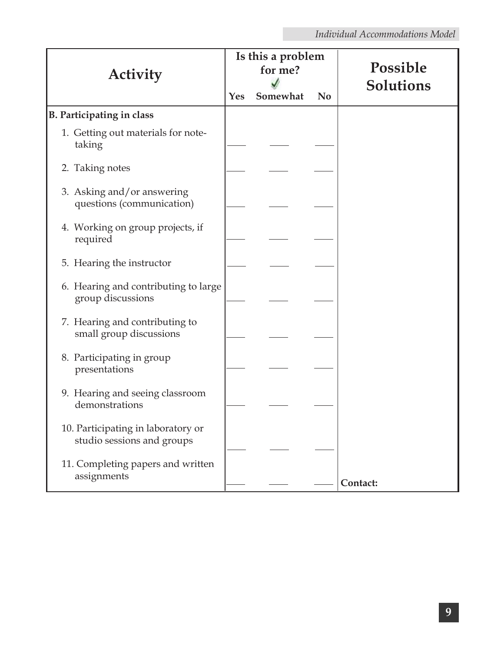| Is this a problem<br>for me?<br>Activity                         |     |          |           | Possible  |
|------------------------------------------------------------------|-----|----------|-----------|-----------|
|                                                                  | Yes | Somewhat | <b>No</b> | Solutions |
| B. Participating in class                                        |     |          |           |           |
| 1. Getting out materials for note-<br>taking                     |     |          |           |           |
| 2. Taking notes                                                  |     |          |           |           |
| 3. Asking and/or answering<br>questions (communication)          |     |          |           |           |
| 4. Working on group projects, if<br>required                     |     |          |           |           |
| 5. Hearing the instructor                                        |     |          |           |           |
| 6. Hearing and contributing to large<br>group discussions        |     |          |           |           |
| 7. Hearing and contributing to<br>small group discussions        |     |          |           |           |
| 8. Participating in group<br>presentations                       |     |          |           |           |
| 9. Hearing and seeing classroom<br>demonstrations                |     |          |           |           |
| 10. Participating in laboratory or<br>studio sessions and groups |     |          |           |           |
| 11. Completing papers and written<br>assignments                 |     |          |           | Contact:  |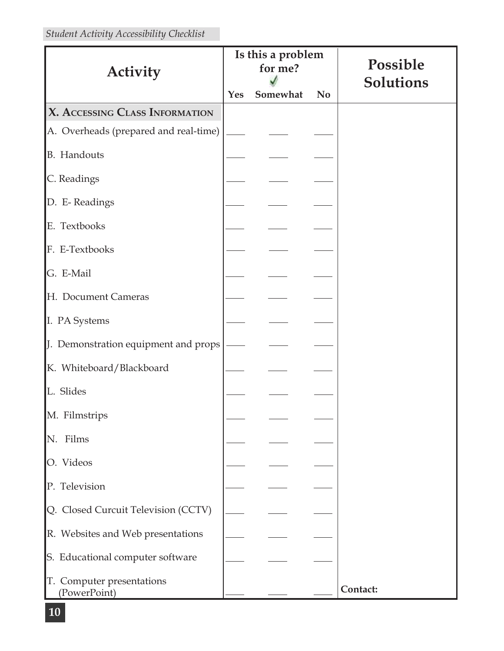| <b>Activity</b>                           |     | Is this a problem<br>for me? |           | Possible  |
|-------------------------------------------|-----|------------------------------|-----------|-----------|
|                                           | Yes | Somewhat                     | <b>No</b> | Solutions |
| X. ACCESSING CLASS INFORMATION            |     |                              |           |           |
| A. Overheads (prepared and real-time)     |     |                              |           |           |
| <b>B.</b> Handouts                        |     |                              |           |           |
| C. Readings                               |     |                              |           |           |
| D. E-Readings                             |     |                              |           |           |
| E. Textbooks                              |     |                              |           |           |
| F. E-Textbooks                            |     |                              |           |           |
| G. E-Mail                                 |     |                              |           |           |
| H. Document Cameras                       |     |                              |           |           |
| I. PA Systems                             |     |                              |           |           |
| J. Demonstration equipment and props      |     |                              |           |           |
| K. Whiteboard/Blackboard                  |     |                              |           |           |
| L. Slides                                 |     |                              |           |           |
| M. Filmstrips                             |     |                              |           |           |
| N. Films                                  |     |                              |           |           |
| O. Videos                                 |     |                              |           |           |
| P. Television                             |     |                              |           |           |
| Q. Closed Curcuit Television (CCTV)       |     |                              |           |           |
| R. Websites and Web presentations         |     |                              |           |           |
| S. Educational computer software          |     |                              |           |           |
| T. Computer presentations<br>(PowerPoint) |     |                              |           | Contact:  |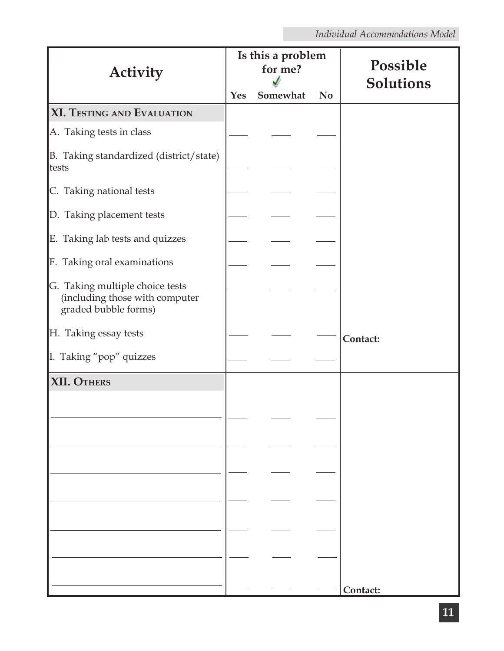| <b>Activity</b>                                                                           | Is this a problem<br>for me? |          |           | Possible<br>Solutions |
|-------------------------------------------------------------------------------------------|------------------------------|----------|-----------|-----------------------|
|                                                                                           | Yes                          | Somewhat | <b>No</b> |                       |
| <b>XI. TESTING AND EVALUATION</b>                                                         |                              |          |           |                       |
| A. Taking tests in class                                                                  |                              |          |           |                       |
| B. Taking standardized (district/state)<br>tests                                          |                              |          |           |                       |
| C. Taking national tests                                                                  |                              |          |           |                       |
| D. Taking placement tests                                                                 |                              |          |           |                       |
| E. Taking lab tests and quizzes                                                           |                              |          |           |                       |
| F. Taking oral examinations                                                               |                              |          |           |                       |
| G. Taking multiple choice tests<br>(including those with computer<br>graded bubble forms) |                              |          |           |                       |
| H. Taking essay tests                                                                     |                              |          |           | Contact:              |
| I. Taking "pop" quizzes                                                                   |                              |          |           |                       |
| <b>XII. OTHERS</b>                                                                        |                              |          |           |                       |
|                                                                                           |                              |          |           |                       |
|                                                                                           |                              |          |           |                       |
|                                                                                           |                              |          |           |                       |
|                                                                                           |                              |          |           |                       |
|                                                                                           |                              |          |           |                       |
|                                                                                           |                              |          |           |                       |
|                                                                                           |                              |          |           |                       |
|                                                                                           |                              |          |           |                       |
|                                                                                           |                              |          |           | Contact:              |